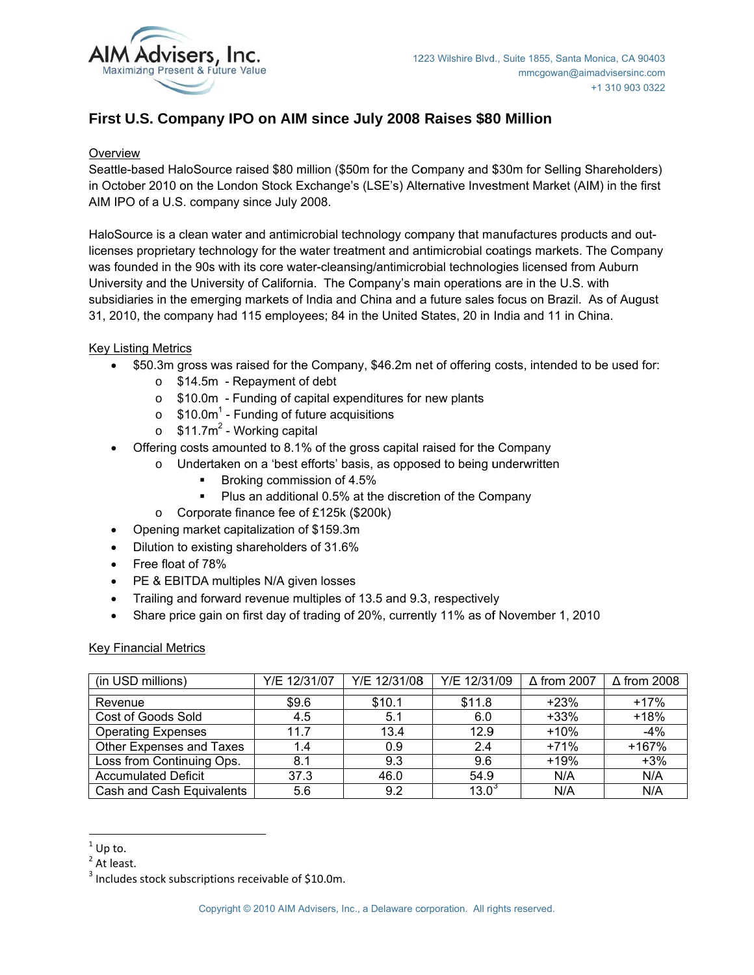

# First U.S. Company IPO on AIM since July 2008 Raises \$80 Million

# Overview

Seattle-based HaloSource raised \$80 million (\$50m for the Company and \$30m for Selling Shareholders) in October 2010 on the London Stock Exchange's (LSE's) Alternative Investment Market (AIM) in the first AIM IPO of a U.S. company since July 2008.

HaloSource is a clean water and antimicrobial technology company that manufactures products and outlicenses proprietary technology for the water treatment and antimicrobial coatings markets. The Company was founded in the 90s with its core water-cleansing/antimicrobial technologies licensed from Auburn University and the University of California. The Company's main operations are in the U.S. with subsidiaries in the emerging markets of India and China and a future sales focus on Brazil. As of August 31, 2010, the company had 115 employees; 84 in the United States, 20 in India and 11 in China.

# **Key Listing Metrics**

- \$50.3m gross was raised for the Company, \$46.2m net of offering costs, intended to be used for:
	- $\circ$  \$14.5m Repayment of debt
	- o \$10.0m Funding of capital expenditures for new plants
	- $\circ$  \$10.0m<sup>1</sup> Funding of future acquisitions
	- $\circ$  \$11.7m<sup>2</sup> Working capital
- Offering costs amounted to 8.1% of the gross capital raised for the Company
	- o Undertaken on a 'best efforts' basis, as opposed to being underwritten
		- Broking commission of 4.5%
			- Plus an additional 0.5% at the discretion of the Company
	- Corporate finance fee of £125k (\$200k)
- Opening market capitalization of \$159.3m
- Dilution to existing shareholders of 31.6%  $\bullet$
- Free float of 78%
- PE & EBITDA multiples N/A given losses
- Trailing and forward revenue multiples of 13.5 and 9.3, respectively  $\bullet$
- Share price gain on first day of trading of 20%, currently 11% as of November 1, 2010  $\bullet$

## **Key Financial Metrics**

| (in USD millions)          | Y/E 12/31/07 | Y/E 12/31/08 | Y/E 12/31/09 | $\Delta$ from 2007 | $\Delta$ from 2008 |
|----------------------------|--------------|--------------|--------------|--------------------|--------------------|
| Revenue                    | \$9.6        | \$10.1       | \$11.8       | $+23%$             | $+17%$             |
| Cost of Goods Sold         | 4.5          | 5.1          | 6.0          | $+33%$             | $+18%$             |
| <b>Operating Expenses</b>  | 11.7         | 13.4         | 12.9         | $+10%$             | $-4%$              |
| Other Expenses and Taxes   | 1.4          | 0.9          | 2.4          | $+71%$             | +167%              |
| Loss from Continuing Ops.  | 8.1          | 9.3          | 9.6          | $+19%$             | $+3%$              |
| <b>Accumulated Deficit</b> | 37.3         | 46.0         | 54.9         | N/A                | N/A                |
| Cash and Cash Equivalents  | 5.6          | 9.2          | $13.0^\circ$ | N/A                | N/A                |

 $1$  Up to.

 $2$  At least.

<sup>&</sup>lt;sup>3</sup> Includes stock subscriptions receivable of \$10.0m.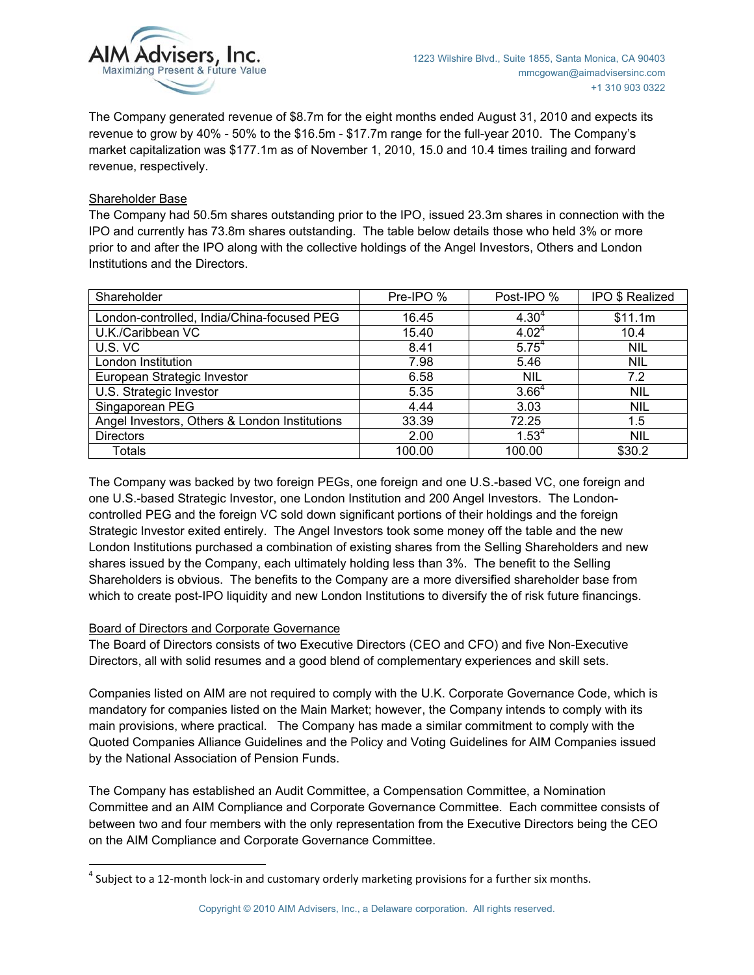

The Company generated revenue of \$8.7m for the eight months ended August 31, 2010 and expects its revenue to grow by 40% - 50% to the \$16.5m - \$17.7m range for the full-year 2010. The Company's market capitalization was \$177.1m as of November 1, 2010, 15.0 and 10.4 times trailing and forward revenue, respectively.

## **Shareholder Base**

The Company had 50.5m shares outstanding prior to the IPO, issued 23.3m shares in connection with the IPO and currently has 73.8m shares outstanding. The table below details those who held 3% or more prior to and after the IPO along with the collective holdings of the Angel Investors, Others and London Institutions and the Directors.

| Shareholder                                   | Pre-IPO % | Post-IPO %        | <b>IPO \$ Realized</b> |
|-----------------------------------------------|-----------|-------------------|------------------------|
|                                               |           |                   |                        |
| London-controlled, India/China-focused PEG    | 16.45     | $4.30^{4}$        | \$11.1m                |
| U.K./Caribbean VC                             | 15.40     | 4.02 <sup>4</sup> | 10.4                   |
| U.S. VC                                       | 8.41      | $5.75^{4}$        | <b>NIL</b>             |
| London Institution                            | 7.98      | 5.46              | <b>NIL</b>             |
| European Strategic Investor                   | 6.58      | <b>NIL</b>        | 7.2                    |
| U.S. Strategic Investor                       | 5.35      | 3.66 <sup>4</sup> | <b>NIL</b>             |
| Singaporean PEG                               | 4.44      | 3.03              | <b>NIL</b>             |
| Angel Investors, Others & London Institutions | 33.39     | 72.25             | 1.5                    |
| <b>Directors</b>                              | 2.00      | $1.53^{4}$        | <b>NIL</b>             |
| Totals                                        | 100.00    | 100.00            | \$30.2                 |

The Company was backed by two foreign PEGs, one foreign and one U.S.-based VC, one foreign and one U.S.-based Strategic Investor, one London Institution and 200 Angel Investors. The Londoncontrolled PEG and the foreign VC sold down significant portions of their holdings and the foreign Strategic Investor exited entirely. The Angel Investors took some money off the table and the new London Institutions purchased a combination of existing shares from the Selling Shareholders and new shares issued by the Company, each ultimately holding less than 3%. The benefit to the Selling Shareholders is obvious. The benefits to the Company are a more diversified shareholder base from which to create post-IPO liquidity and new London Institutions to diversify the of risk future financings.

## Board of Directors and Corporate Governance

The Board of Directors consists of two Executive Directors (CEO and CFO) and five Non-Executive Directors, all with solid resumes and a good blend of complementary experiences and skill sets.

Companies listed on AIM are not required to comply with the U.K. Corporate Governance Code, which is mandatory for companies listed on the Main Market; however, the Company intends to comply with its main provisions, where practical. The Company has made a similar commitment to comply with the Quoted Companies Alliance Guidelines and the Policy and Voting Guidelines for AIM Companies issued by the National Association of Pension Funds.

The Company has established an Audit Committee, a Compensation Committee, a Nomination Committee and an AIM Compliance and Corporate Governance Committee. Each committee consists of between two and four members with the only representation from the Executive Directors being the CEO on the AIM Compliance and Corporate Governance Committee.

 $4$  Subject to a 12-month lock-in and customary orderly marketing provisions for a further six months.